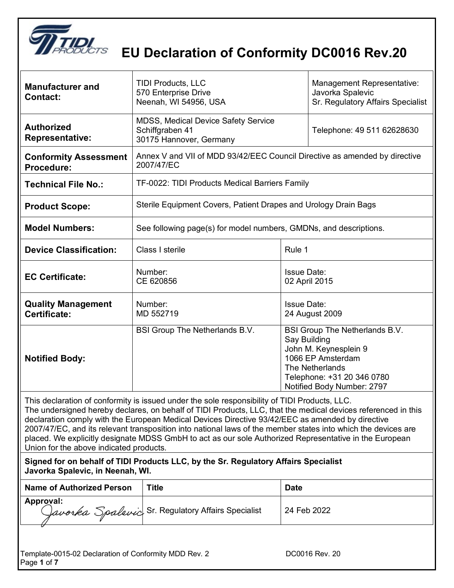

| <b>Manufacturer and</b><br><b>Contact:</b>                                                                                                                                                                                                                                                                                                                                                                                                                                                                                                                                               | <b>TIDI Products, LLC</b><br>570 Enterprise Drive<br>Neenah, WI 54956, USA               |                    | Management Representative:<br>Javorka Spalevic<br>Sr. Regulatory Affairs Specialist                                                                                |
|------------------------------------------------------------------------------------------------------------------------------------------------------------------------------------------------------------------------------------------------------------------------------------------------------------------------------------------------------------------------------------------------------------------------------------------------------------------------------------------------------------------------------------------------------------------------------------------|------------------------------------------------------------------------------------------|--------------------|--------------------------------------------------------------------------------------------------------------------------------------------------------------------|
| <b>Authorized</b><br><b>Representative:</b>                                                                                                                                                                                                                                                                                                                                                                                                                                                                                                                                              | <b>MDSS, Medical Device Safety Service</b><br>Schiffgraben 41<br>30175 Hannover, Germany |                    | Telephone: 49 511 62628630                                                                                                                                         |
| <b>Conformity Assessment</b><br>Procedure:                                                                                                                                                                                                                                                                                                                                                                                                                                                                                                                                               | Annex V and VII of MDD 93/42/EEC Council Directive as amended by directive<br>2007/47/EC |                    |                                                                                                                                                                    |
| <b>Technical File No.:</b>                                                                                                                                                                                                                                                                                                                                                                                                                                                                                                                                                               | TF-0022: TIDI Products Medical Barriers Family                                           |                    |                                                                                                                                                                    |
| <b>Product Scope:</b>                                                                                                                                                                                                                                                                                                                                                                                                                                                                                                                                                                    | Sterile Equipment Covers, Patient Drapes and Urology Drain Bags                          |                    |                                                                                                                                                                    |
| <b>Model Numbers:</b>                                                                                                                                                                                                                                                                                                                                                                                                                                                                                                                                                                    | See following page(s) for model numbers, GMDNs, and descriptions.                        |                    |                                                                                                                                                                    |
| <b>Device Classification:</b>                                                                                                                                                                                                                                                                                                                                                                                                                                                                                                                                                            | Class I sterile                                                                          | Rule 1             |                                                                                                                                                                    |
| <b>EC Certificate:</b>                                                                                                                                                                                                                                                                                                                                                                                                                                                                                                                                                                   | Number:<br>CE 620856                                                                     | <b>Issue Date:</b> | 02 April 2015                                                                                                                                                      |
| <b>Quality Management</b><br>Certificate:                                                                                                                                                                                                                                                                                                                                                                                                                                                                                                                                                | Number:<br>MD 552719                                                                     | <b>Issue Date:</b> | 24 August 2009                                                                                                                                                     |
| <b>Notified Body:</b>                                                                                                                                                                                                                                                                                                                                                                                                                                                                                                                                                                    | BSI Group The Netherlands B.V.                                                           | Say Building       | <b>BSI Group The Netherlands B.V.</b><br>John M. Keynesplein 9<br>1066 EP Amsterdam<br>The Netherlands<br>Telephone: +31 20 346 0780<br>Notified Body Number: 2797 |
| This declaration of conformity is issued under the sole responsibility of TIDI Products, LLC.<br>The undersigned hereby declares, on behalf of TIDI Products, LLC, that the medical devices referenced in this<br>declaration comply with the European Medical Devices Directive 93/42/EEC as amended by directive<br>2007/47/EC, and its relevant transposition into national laws of the member states into which the devices are<br>placed. We explicitly designate MDSS GmbH to act as our sole Authorized Representative in the European<br>Union for the above indicated products. |                                                                                          |                    |                                                                                                                                                                    |
| Javorka Spalevic, in Neenah, WI.                                                                                                                                                                                                                                                                                                                                                                                                                                                                                                                                                         | Signed for on behalf of TIDI Products LLC, by the Sr. Regulatory Affairs Specialist      |                    |                                                                                                                                                                    |
| <b>Name of Authorized Person</b>                                                                                                                                                                                                                                                                                                                                                                                                                                                                                                                                                         | <b>Title</b>                                                                             | <b>Date</b>        |                                                                                                                                                                    |
| Approval:                                                                                                                                                                                                                                                                                                                                                                                                                                                                                                                                                                                | Javorka Spalevic Sr. Regulatory Affairs Specialist                                       |                    | 24 Feb 2022                                                                                                                                                        |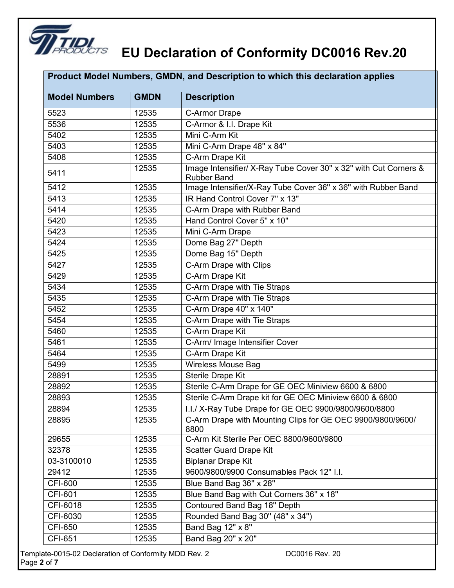

| <b>Model Numbers</b> | <b>GMDN</b> | <b>Description</b>                                                                     |
|----------------------|-------------|----------------------------------------------------------------------------------------|
| 5523                 | 12535       | C-Armor Drape                                                                          |
| 5536                 | 12535       | C-Armor & I.I. Drape Kit                                                               |
| 5402                 | 12535       | Mini C-Arm Kit                                                                         |
| 5403                 | 12535       | Mini C-Arm Drape 48" x 84"                                                             |
| 5408                 | 12535       | C-Arm Drape Kit                                                                        |
| 5411                 | 12535       | Image Intensifier/ X-Ray Tube Cover 30" x 32" with Cut Corners &<br><b>Rubber Band</b> |
| 5412                 | 12535       | Image Intensifier/X-Ray Tube Cover 36" x 36" with Rubber Band                          |
| 5413                 | 12535       | IR Hand Control Cover 7" x 13"                                                         |
| 5414                 | 12535       | C-Arm Drape with Rubber Band                                                           |
| 5420                 | 12535       | Hand Control Cover 5" x 10"                                                            |
| 5423                 | 12535       | Mini C-Arm Drape                                                                       |
| 5424                 | 12535       | Dome Bag 27" Depth                                                                     |
| 5425                 | 12535       | Dome Bag 15" Depth                                                                     |
| 5427                 | 12535       | C-Arm Drape with Clips                                                                 |
| 5429                 | 12535       | C-Arm Drape Kit                                                                        |
| 5434                 | 12535       | C-Arm Drape with Tie Straps                                                            |
| 5435                 | 12535       | C-Arm Drape with Tie Straps                                                            |
| 5452                 | 12535       | C-Arm Drape 40" x 140"                                                                 |
| 5454                 | 12535       | C-Arm Drape with Tie Straps                                                            |
| 5460                 | 12535       | C-Arm Drape Kit                                                                        |
| 5461                 | 12535       | C-Arm/ Image Intensifier Cover                                                         |
| 5464                 | 12535       | C-Arm Drape Kit                                                                        |
| 5499                 | 12535       | <b>Wireless Mouse Bag</b>                                                              |
| 28891                | 12535       | <b>Sterile Drape Kit</b>                                                               |
| 28892                | 12535       | Sterile C-Arm Drape for GE OEC Miniview 6600 & 6800                                    |
| 28893                | 12535       | Sterile C-Arm Drape kit for GE OEC Miniview 6600 & 6800                                |
| 28894                | 12535       | I.I./ X-Ray Tube Drape for GE OEC 9900/9800/9600/8800                                  |
| 28895                | 12535       | C-Arm Drape with Mounting Clips for GE OEC 9900/9800/9600/<br>8800                     |
| 29655                | 12535       | C-Arm Kit Sterile Per OEC 8800/9600/9800                                               |
| 32378                | 12535       | <b>Scatter Guard Drape Kit</b>                                                         |
| 03-3100010           | 12535       | <b>Biplanar Drape Kit</b>                                                              |
| 29412                | 12535       | 9600/9800/9900 Consumables Pack 12" I.I.                                               |
| <b>CFI-600</b>       | 12535       | Blue Band Bag 36" x 28"                                                                |
| <b>CFI-601</b>       | 12535       | Blue Band Bag with Cut Corners 36" x 18"                                               |
| CFI-6018             | 12535       | Contoured Band Bag 18" Depth                                                           |
| CFI-6030             | 12535       | Rounded Band Bag 30" (48" x 34")                                                       |
| <b>CFI-650</b>       | 12535       | Band Bag $12" \times 8"$                                                               |
| <b>CFI-651</b>       | 12535       | Band Bag 20" x 20"                                                                     |

Template-0015-02 Declaration of Conformity MDD Rev. 2 DC0016 Rev. 20 Page **2** of **7**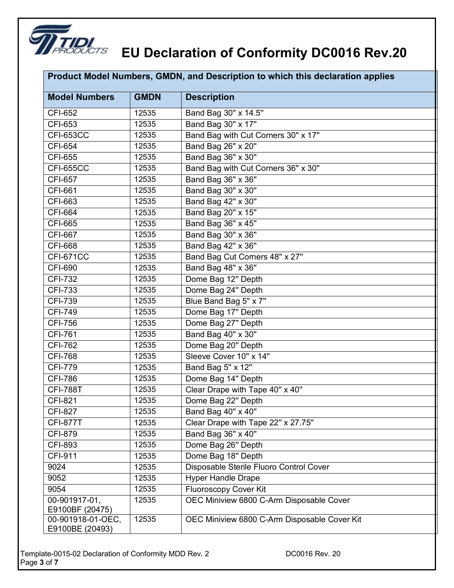

|                                      |             | Product Model Numbers, GMDN, and Description to which this declaration applies |
|--------------------------------------|-------------|--------------------------------------------------------------------------------|
| <b>Model Numbers</b>                 | <b>GMDN</b> | <b>Description</b>                                                             |
| <b>CFI-652</b>                       | 12535       | Band Bag 30" x 14.5"                                                           |
| <b>CFI-653</b>                       | 12535       | Band Bag 30" x 17"                                                             |
| <b>CFI-653CC</b>                     | 12535       | Band Bag with Cut Corners 30" x 17"                                            |
| <b>CFI-654</b>                       | 12535       | Band Bag 26" x 20"                                                             |
| <b>CFI-655</b>                       | 12535       | Band Bag 36" x 30"                                                             |
| <b>CFI-655CC</b>                     | 12535       | Band Bag with Cut Corners 36" x 30"                                            |
| <b>CFI-657</b>                       | 12535       | Band Bag 36" x 36"                                                             |
| <b>CFI-661</b>                       | 12535       | Band Bag 30" x 30"                                                             |
| <b>CFI-663</b>                       | 12535       | Band Bag 42" x 30"                                                             |
| <b>CFI-664</b>                       | 12535       | Band Bag 20" x 15"                                                             |
| CFI-665                              | 12535       | Band Bag 36" x 45"                                                             |
| <b>CFI-667</b>                       | 12535       | Band Bag 30" x 36"                                                             |
| <b>CFI-668</b>                       | 12535       | Band Bag 42" x 36"                                                             |
| <b>CFI-671CC</b>                     | 12535       | Band Bag Cut Corners 48" x 27"                                                 |
| <b>CFI-690</b>                       | 12535       | Band Bag 48" x 36"                                                             |
| <b>CFI-732</b>                       | 12535       | Dome Bag 12" Depth                                                             |
| <b>CFI-733</b>                       | 12535       | Dome Bag 24" Depth                                                             |
| <b>CFI-739</b>                       | 12535       | Blue Band Bag 5" x 7"                                                          |
| <b>CFI-749</b>                       | 12535       | Dome Bag 17" Depth                                                             |
| <b>CFI-756</b>                       | 12535       | Dome Bag 27" Depth                                                             |
| <b>CFI-761</b>                       | 12535       | Band Bag 40" x 30"                                                             |
| <b>CFI-762</b>                       | 12535       | Dome Bag 20" Depth                                                             |
| <b>CFI-768</b>                       | 12535       | Sleeve Cover 10" x 14"                                                         |
| <b>CFI-779</b>                       | 12535       | Band Bag 5" x 12"                                                              |
| <b>CFI-786</b>                       | 12535       | Dome Bag 14" Depth                                                             |
| <b>CFI-788T</b>                      | 12535       | Clear Drape with Tape 40" x 40"                                                |
| <b>CFI-821</b>                       | 12535       | Dome Bag 22" Depth                                                             |
| <b>CFI-827</b>                       | 12535       | Band Bag 40" x 40"                                                             |
| <b>CFI-877T</b>                      | 12535       | Clear Drape with Tape 22" x 27.75"                                             |
| <b>CFI-879</b>                       | 12535       | Band Bag 36" x 40"                                                             |
| <b>CFI-893</b>                       | 12535       | Dome Bag 26" Depth                                                             |
| <b>CFI-911</b>                       | 12535       | Dome Bag 18" Depth                                                             |
| 9024                                 | 12535       | Disposable Sterile Fluoro Control Cover                                        |
| 9052                                 | 12535       | <b>Hyper Handle Drape</b>                                                      |
| 9054                                 | 12535       | <b>Fluoroscopy Cover Kit</b>                                                   |
| 00-901917-01,<br>E9100BF (20475)     | 12535       | OEC Miniview 6800 C-Arm Disposable Cover                                       |
| 00-901918-01-OEC,<br>E9100BE (20493) | 12535       | OEC Miniview 6800 C-Arm Disposable Cover Kit                                   |

Template-0015-02 Declaration of Conformity MDD Rev. 2 DC0016 Rev. 20 Page **3** of **7**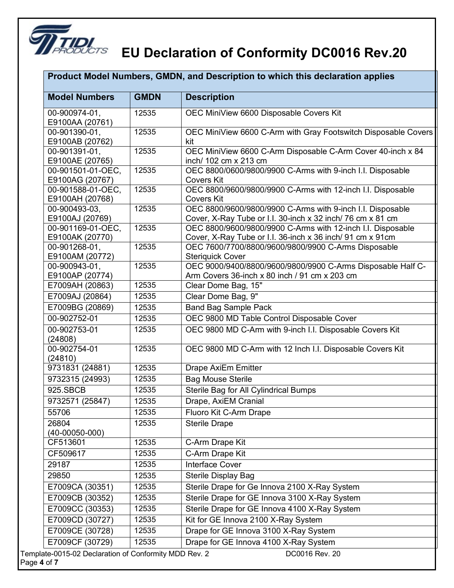

Page

#### **EU** Declaration of Conformity DC0016 Rev.20

| <b>Model Numbers</b>                 | <b>GMDN</b> | <b>Description</b>                                                                                                       |
|--------------------------------------|-------------|--------------------------------------------------------------------------------------------------------------------------|
| 00-900974-01,                        | 12535       | OEC MiniView 6600 Disposable Covers Kit                                                                                  |
| E9100AA (20761)                      |             |                                                                                                                          |
| 00-901390-01,                        | 12535       | OEC MiniView 6600 C-Arm with Gray Footswitch Disposable Covers                                                           |
| E9100AB (20762)                      |             | kit                                                                                                                      |
| 00-901391-01,                        | 12535       | OEC MiniView 6600 C-Arm Disposable C-Arm Cover 40-inch x 84                                                              |
| E9100AE (20765)                      |             | inch/ 102 cm x 213 cm                                                                                                    |
| 00-901501-01-OEC,                    | 12535       | OEC 8800/0600/9800/9900 C-Arms with 9-inch I.I. Disposable                                                               |
| E9100AG (20767)                      |             | <b>Covers Kit</b>                                                                                                        |
| 00-901588-01-OEC,                    | 12535       | OEC 8800/9600/9800/9900 C-Arms with 12-inch I.I. Disposable                                                              |
| E9100AH (20768)                      |             | <b>Covers Kit</b>                                                                                                        |
| 00-900493-03,                        | 12535       | OEC 8800/9600/9800/9900 C-Arms with 9-inch I.I. Disposable                                                               |
| E9100AJ (20769)                      | 12535       | Cover, X-Ray Tube or I.I. 30-inch x 32 inch/ 76 cm x 81 cm                                                               |
| 00-901169-01-OEC,<br>E9100AK (20770) |             | OEC 8800/9600/9800/9900 C-Arms with 12-inch I.I. Disposable<br>Cover, X-Ray Tube or I.I. 36-inch x 36 inch/ 91 cm x 91cm |
| 00-901268-01,                        | 12535       | OEC 7600/7700/8800/9600/9800/9900 C-Arms Disposable                                                                      |
| E9100AM (20772)                      |             | <b>Steriquick Cover</b>                                                                                                  |
| 00-900943-01.                        | 12535       | OEC 9000/9400/8800/9600/9800/9900 C-Arms Disposable Half C-                                                              |
| E9100AP (20774)                      |             | Arm Covers 36-inch x 80 inch / 91 cm x 203 cm                                                                            |
| E7009AH (20863)                      | 12535       | Clear Dome Bag, 15"                                                                                                      |
| E7009AJ (20864)                      | 12535       | Clear Dome Bag, 9"                                                                                                       |
| E7009BG (20869)                      | 12535       | <b>Band Bag Sample Pack</b>                                                                                              |
| 00-902752-01                         | 12535       | OEC 9800 MD Table Control Disposable Cover                                                                               |
| 00-902753-01<br>(24808)              | 12535       | OEC 9800 MD C-Arm with 9-inch I.I. Disposable Covers Kit                                                                 |
| 00-902754-01<br>(24810)              | 12535       | OEC 9800 MD C-Arm with 12 Inch I.I. Disposable Covers Kit                                                                |
| 9731831 (24881)                      | 12535       | <b>Drape AxiEm Emitter</b>                                                                                               |
| 9732315 (24993)                      | 12535       | <b>Bag Mouse Sterile</b>                                                                                                 |
| 925.SBCB                             | 12535       | Sterile Bag for All Cylindrical Bumps                                                                                    |
| 9732571 (25847)                      | 12535       | Drape, AxiEM Cranial                                                                                                     |
| 55706                                | 12535       | Fluoro Kit C-Arm Drape                                                                                                   |
| 26804<br>$(40-00050-000)$            | 12535       | <b>Sterile Drape</b>                                                                                                     |
| CF513601                             | 12535       | C-Arm Drape Kit                                                                                                          |
| CF509617                             | 12535       | C-Arm Drape Kit                                                                                                          |
| 29187                                | 12535       | Interface Cover                                                                                                          |
| 29850                                | 12535       | <b>Sterile Display Bag</b>                                                                                               |
| E7009CA (30351)                      | 12535       | Sterile Drape for Ge Innova 2100 X-Ray System                                                                            |
| E7009CB (30352)                      | 12535       | Sterile Drape for GE Innova 3100 X-Ray System                                                                            |
| E7009CC (30353)                      | 12535       | Sterile Drape for GE Innova 4100 X-Ray System                                                                            |
| E7009CD (30727)                      | 12535       | Kit for GE Innova 2100 X-Ray System                                                                                      |
| E7009CE (30728)                      | 12535       | Drape for GE Innova 3100 X-Ray System                                                                                    |
| E7009CF (30729)                      | 12535       | Drape for GE Innova 4100 X-Ray System                                                                                    |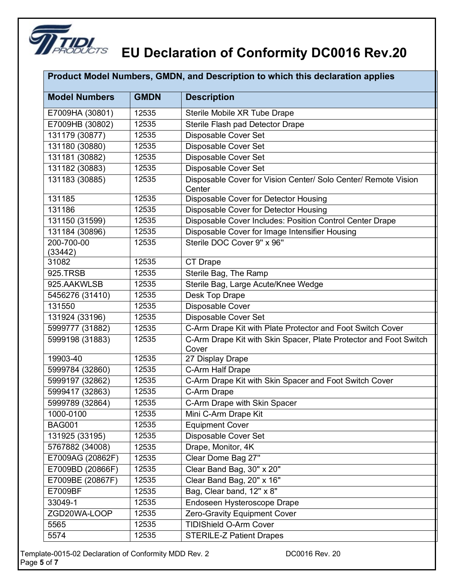

|                       |             | Product Model Numbers, GMDN, and Description to which this declaration applies |
|-----------------------|-------------|--------------------------------------------------------------------------------|
| <b>Model Numbers</b>  | <b>GMDN</b> | <b>Description</b>                                                             |
| E7009HA (30801)       | 12535       | Sterile Mobile XR Tube Drape                                                   |
| E7009HB (30802)       | 12535       | Sterile Flash pad Detector Drape                                               |
| 131179 (30877)        | 12535       | Disposable Cover Set                                                           |
| 131180 (30880)        | 12535       | Disposable Cover Set                                                           |
| 131181 (30882)        | 12535       | Disposable Cover Set                                                           |
| 131182 (30883)        | 12535       | Disposable Cover Set                                                           |
| 131183 (30885)        | 12535       | Disposable Cover for Vision Center/ Solo Center/ Remote Vision<br>Center       |
| 131185                | 12535       | Disposable Cover for Detector Housing                                          |
| 131186                | 12535       | Disposable Cover for Detector Housing                                          |
| 131150 (31599)        | 12535       | Disposable Cover Includes: Position Control Center Drape                       |
| 131184 (30896)        | 12535       | Disposable Cover for Image Intensifier Housing                                 |
| 200-700-00<br>(33442) | 12535       | Sterile DOC Cover 9" x 96"                                                     |
| 31082                 | 12535       | <b>CT Drape</b>                                                                |
| 925.TRSB              | 12535       | Sterile Bag, The Ramp                                                          |
| 925.AAKWLSB           | 12535       | Sterile Bag, Large Acute/Knee Wedge                                            |
| 5456276 (31410)       | 12535       | Desk Top Drape                                                                 |
| 131550                | 12535       | Disposable Cover                                                               |
| 131924 (33196)        | 12535       | Disposable Cover Set                                                           |
| 5999777 (31882)       | 12535       | C-Arm Drape Kit with Plate Protector and Foot Switch Cover                     |
| 5999198 (31883)       | 12535       | C-Arm Drape Kit with Skin Spacer, Plate Protector and Foot Switch<br>Cover     |
| 19903-40              | 12535       | 27 Display Drape                                                               |
| 5999784 (32860)       | 12535       | C-Arm Half Drape                                                               |
| 5999197 (32862)       | 12535       | C-Arm Drape Kit with Skin Spacer and Foot Switch Cover                         |
| 5999417 (32863)       | 12535       | C-Arm Drape                                                                    |
| 5999789 (32864)       | 12535       | C-Arm Drape with Skin Spacer                                                   |
| 1000-0100             | 12535       | Mini C-Arm Drape Kit                                                           |
| <b>BAG001</b>         | 12535       | <b>Equipment Cover</b>                                                         |
| 131925 (33195)        | 12535       | Disposable Cover Set                                                           |
| 5767882 (34008)       | 12535       | Drape, Monitor, 4K                                                             |
| E7009AG (20862F)      | 12535       | Clear Dome Bag 27"                                                             |
| E7009BD (20866F)      | 12535       | Clear Band Bag, 30" x 20"                                                      |
| E7009BE (20867F)      | 12535       | Clear Band Bag, 20" x 16"                                                      |
| E7009BF               | 12535       | Bag, Clear band, 12" x 8"                                                      |
| 33049-1               | 12535       | Endoseen Hysteroscope Drape                                                    |
| ZGD20WA-LOOP          | 12535       | Zero-Gravity Equipment Cover                                                   |
| 5565                  | 12535       | <b>TIDIShield O-Arm Cover</b>                                                  |
| 5574                  | 12535       | <b>STERILE-Z Patient Drapes</b>                                                |

Template-0015-02 Declaration of Conformity MDD Rev. 2 DC0016 Rev. 20 Page **5** of **7**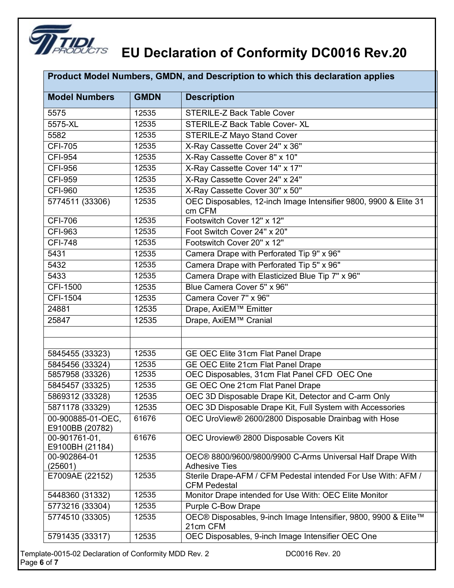

| <b>Model Numbers</b><br><b>GMDN</b><br><b>Description</b><br>12535<br><b>STERILE-Z Back Table Cover</b><br>5575<br>5575-XL<br>12535<br>STERILE-Z Back Table Cover- XL<br>5582<br>12535<br><b>STERILE-Z Mayo Stand Cover</b><br><b>CFI-705</b><br>12535<br>X-Ray Cassette Cover 24" x 36"<br>X-Ray Cassette Cover 8" x 10"<br><b>CFI-954</b><br>12535<br>X-Ray Cassette Cover 14" x 17"<br><b>CFI-956</b><br>12535<br>X-Ray Cassette Cover 24" x 24"<br><b>CFI-959</b><br>12535<br>CFI-960<br>X-Ray Cassette Cover 30" x 50"<br>12535<br>OEC Disposables, 12-inch Image Intensifier 9800, 9900 & Elite 31<br>5774511 (33306)<br>12535<br>cm CFM<br>CFI-706<br>12535<br>Footswitch Cover 12" x 12"<br><b>CFI-963</b><br>Foot Switch Cover 24" x 20"<br>12535<br><b>CFI-748</b><br>12535<br>Footswitch Cover 20" x 12" | Product Model Numbers, GMDN, and Description to which this declaration applies |       |                                           |
|---------------------------------------------------------------------------------------------------------------------------------------------------------------------------------------------------------------------------------------------------------------------------------------------------------------------------------------------------------------------------------------------------------------------------------------------------------------------------------------------------------------------------------------------------------------------------------------------------------------------------------------------------------------------------------------------------------------------------------------------------------------------------------------------------------------------|--------------------------------------------------------------------------------|-------|-------------------------------------------|
|                                                                                                                                                                                                                                                                                                                                                                                                                                                                                                                                                                                                                                                                                                                                                                                                                     |                                                                                |       |                                           |
|                                                                                                                                                                                                                                                                                                                                                                                                                                                                                                                                                                                                                                                                                                                                                                                                                     |                                                                                |       |                                           |
|                                                                                                                                                                                                                                                                                                                                                                                                                                                                                                                                                                                                                                                                                                                                                                                                                     |                                                                                |       |                                           |
|                                                                                                                                                                                                                                                                                                                                                                                                                                                                                                                                                                                                                                                                                                                                                                                                                     |                                                                                |       |                                           |
|                                                                                                                                                                                                                                                                                                                                                                                                                                                                                                                                                                                                                                                                                                                                                                                                                     |                                                                                |       |                                           |
|                                                                                                                                                                                                                                                                                                                                                                                                                                                                                                                                                                                                                                                                                                                                                                                                                     |                                                                                |       |                                           |
|                                                                                                                                                                                                                                                                                                                                                                                                                                                                                                                                                                                                                                                                                                                                                                                                                     |                                                                                |       |                                           |
|                                                                                                                                                                                                                                                                                                                                                                                                                                                                                                                                                                                                                                                                                                                                                                                                                     |                                                                                |       |                                           |
|                                                                                                                                                                                                                                                                                                                                                                                                                                                                                                                                                                                                                                                                                                                                                                                                                     |                                                                                |       |                                           |
|                                                                                                                                                                                                                                                                                                                                                                                                                                                                                                                                                                                                                                                                                                                                                                                                                     |                                                                                |       |                                           |
|                                                                                                                                                                                                                                                                                                                                                                                                                                                                                                                                                                                                                                                                                                                                                                                                                     |                                                                                |       |                                           |
|                                                                                                                                                                                                                                                                                                                                                                                                                                                                                                                                                                                                                                                                                                                                                                                                                     |                                                                                |       |                                           |
|                                                                                                                                                                                                                                                                                                                                                                                                                                                                                                                                                                                                                                                                                                                                                                                                                     |                                                                                |       |                                           |
|                                                                                                                                                                                                                                                                                                                                                                                                                                                                                                                                                                                                                                                                                                                                                                                                                     | 5431                                                                           | 12535 | Camera Drape with Perforated Tip 9" x 96" |
| Camera Drape with Perforated Tip 5" x 96"<br>5432<br>12535                                                                                                                                                                                                                                                                                                                                                                                                                                                                                                                                                                                                                                                                                                                                                          |                                                                                |       |                                           |
| Camera Drape with Elasticized Blue Tip 7" x 96"<br>5433<br>12535                                                                                                                                                                                                                                                                                                                                                                                                                                                                                                                                                                                                                                                                                                                                                    |                                                                                |       |                                           |
| Blue Camera Cover 5" x 96"<br>CFI-1500<br>12535                                                                                                                                                                                                                                                                                                                                                                                                                                                                                                                                                                                                                                                                                                                                                                     |                                                                                |       |                                           |
| CFI-1504<br>Camera Cover 7" x 96"<br>12535                                                                                                                                                                                                                                                                                                                                                                                                                                                                                                                                                                                                                                                                                                                                                                          |                                                                                |       |                                           |
| Drape, AxiEM™ Emitter<br>24881<br>12535                                                                                                                                                                                                                                                                                                                                                                                                                                                                                                                                                                                                                                                                                                                                                                             |                                                                                |       |                                           |
| 25847<br>12535<br>Drape, AxiEM™ Cranial                                                                                                                                                                                                                                                                                                                                                                                                                                                                                                                                                                                                                                                                                                                                                                             |                                                                                |       |                                           |
|                                                                                                                                                                                                                                                                                                                                                                                                                                                                                                                                                                                                                                                                                                                                                                                                                     |                                                                                |       |                                           |
|                                                                                                                                                                                                                                                                                                                                                                                                                                                                                                                                                                                                                                                                                                                                                                                                                     |                                                                                |       |                                           |
| 12535<br>GE OEC Elite 31cm Flat Panel Drape<br>5845455 (33323)                                                                                                                                                                                                                                                                                                                                                                                                                                                                                                                                                                                                                                                                                                                                                      |                                                                                |       |                                           |
| 12535<br>GE OEC Elite 21cm Flat Panel Drape<br>5845456 (33324)                                                                                                                                                                                                                                                                                                                                                                                                                                                                                                                                                                                                                                                                                                                                                      |                                                                                |       |                                           |
| OEC Disposables, 31cm Flat Panel CFD OEC One<br>12535<br>5857958 (33326)                                                                                                                                                                                                                                                                                                                                                                                                                                                                                                                                                                                                                                                                                                                                            |                                                                                |       |                                           |
| GE OEC One 21cm Flat Panel Drape<br>5845457 (33325)<br>12535                                                                                                                                                                                                                                                                                                                                                                                                                                                                                                                                                                                                                                                                                                                                                        |                                                                                |       |                                           |
| OEC 3D Disposable Drape Kit, Detector and C-arm Only<br>5869312 (33328)<br>12535                                                                                                                                                                                                                                                                                                                                                                                                                                                                                                                                                                                                                                                                                                                                    |                                                                                |       |                                           |
| 5871178 (33329)<br>12535<br>OEC 3D Disposable Drape Kit, Full System with Accessories                                                                                                                                                                                                                                                                                                                                                                                                                                                                                                                                                                                                                                                                                                                               |                                                                                |       |                                           |
| 00-900885-01-OEC.<br>61676<br>OEC UroView® 2600/2800 Disposable Drainbag with Hose<br>E9100BB (20782)                                                                                                                                                                                                                                                                                                                                                                                                                                                                                                                                                                                                                                                                                                               |                                                                                |       |                                           |
| 61676<br>OEC Uroview® 2800 Disposable Covers Kit<br>00-901761-01,<br>E9100BH (21184)                                                                                                                                                                                                                                                                                                                                                                                                                                                                                                                                                                                                                                                                                                                                |                                                                                |       |                                           |
| 12535<br>00-902864-01<br>OEC® 8800/9600/9800/9900 C-Arms Universal Half Drape With                                                                                                                                                                                                                                                                                                                                                                                                                                                                                                                                                                                                                                                                                                                                  |                                                                                |       |                                           |
| (25601)<br><b>Adhesive Ties</b>                                                                                                                                                                                                                                                                                                                                                                                                                                                                                                                                                                                                                                                                                                                                                                                     |                                                                                |       |                                           |
| E7009AE (22152)<br>Sterile Drape-AFM / CFM Pedestal intended For Use With: AFM /<br>12535<br><b>CFM Pedestal</b>                                                                                                                                                                                                                                                                                                                                                                                                                                                                                                                                                                                                                                                                                                    |                                                                                |       |                                           |
| 12535<br>Monitor Drape intended for Use With: OEC Elite Monitor<br>5448360 (31332)                                                                                                                                                                                                                                                                                                                                                                                                                                                                                                                                                                                                                                                                                                                                  |                                                                                |       |                                           |
| 5773216 (33304)<br>12535<br><b>Purple C-Bow Drape</b>                                                                                                                                                                                                                                                                                                                                                                                                                                                                                                                                                                                                                                                                                                                                                               |                                                                                |       |                                           |
| OEC® Disposables, 9-inch Image Intensifier, 9800, 9900 & Elite™<br>5774510 (33305)<br>12535<br>21cm CFM                                                                                                                                                                                                                                                                                                                                                                                                                                                                                                                                                                                                                                                                                                             |                                                                                |       |                                           |
| OEC Disposables, 9-inch Image Intensifier OEC One<br>5791435 (33317)<br>12535                                                                                                                                                                                                                                                                                                                                                                                                                                                                                                                                                                                                                                                                                                                                       |                                                                                |       |                                           |

Template-0015-02 Declaration of Conformity MDD Rev. 2 DC0016 Rev. 20 Page **6** of **7**